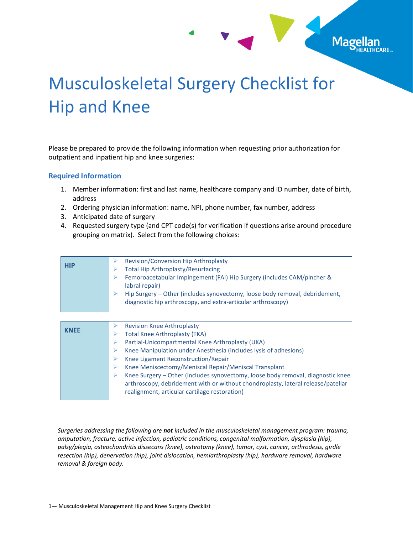## Musculoskeletal Surgery Checklist for Hip and Knee

Mage

Please be prepared to provide the following information when requesting prior authorization for outpatient and inpatient hip and knee surgeries:

## **Required Information**

- 1. Member information: first and last name, healthcare company and ID number, date of birth, address
- 2. Ordering physician information: name, NPI, phone number, fax number, address
- 3. Anticipated date of surgery
- 4. Requested surgery type (and CPT code(s) for verification if questions arise around procedure grouping on matrix). Select from the following choices:

| <b>HIP</b> | Revision/Conversion Hip Arthroplasty<br><b>Total Hip Arthroplasty/Resurfacing</b>                                                                                                                                         |
|------------|---------------------------------------------------------------------------------------------------------------------------------------------------------------------------------------------------------------------------|
|            | Femoroacetabular Impingement (FAI) Hip Surgery (includes CAM/pincher &<br>⋗<br>labral repair)                                                                                                                             |
|            | Hip Surgery – Other (includes synovectomy, loose body removal, debridement,<br>diagnostic hip arthroscopy, and extra-articular arthroscopy)                                                                               |
|            |                                                                                                                                                                                                                           |
|            | <b>Revision Knee Arthroplasty</b>                                                                                                                                                                                         |
|            | <b>Total Knee Arthroplasty (TKA)</b>                                                                                                                                                                                      |
|            | Partial-Unicompartmental Knee Arthroplasty (UKA)                                                                                                                                                                          |
|            | Knee Manipulation under Anesthesia (includes lysis of adhesions)<br>⋗                                                                                                                                                     |
|            | Knee Ligament Reconstruction/Repair<br>➤                                                                                                                                                                                  |
|            | Knee Meniscectomy/Meniscal Repair/Meniscal Transplant<br>➤                                                                                                                                                                |
|            | Knee Surgery - Other (includes synovectomy, loose body removal, diagnostic knee<br>⋗<br>arthroscopy, debridement with or without chondroplasty, lateral release/patellar<br>realignment, articular cartilage restoration) |

*Surgeries addressing the following are not included in the musculoskeletal management program: trauma, amputation, fracture, active infection, pediatric conditions, congenital malformation, dysplasia (hip), palsy/plegia, osteochondritis dissecans (knee), osteotomy (knee), tumor, cyst, cancer, arthrodesis, girdle resection (hip), denervation (hip), joint dislocation, hemiarthroplasty (hip), hardware removal, hardware removal & foreign body.*